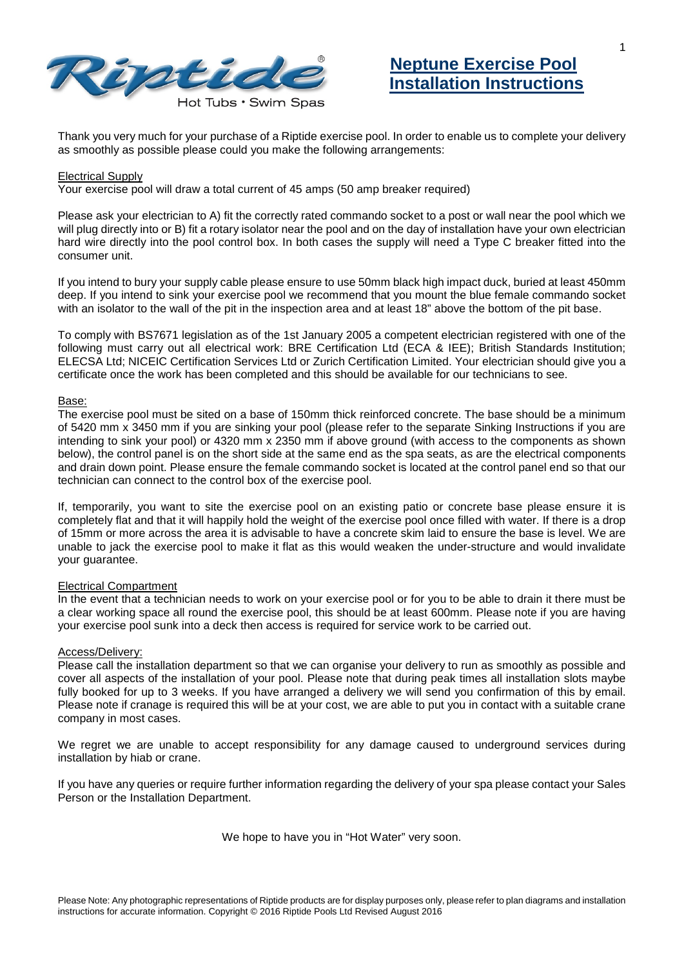

# **Neptune Exercise Pool Installation Instructions**

Thank you very much for your purchase of a Riptide exercise pool. In order to enable us to complete your delivery as smoothly as possible please could you make the following arrangements:

#### Electrical Supply

Your exercise pool will draw a total current of 45 amps (50 amp breaker required)

Please ask your electrician to A) fit the correctly rated commando socket to a post or wall near the pool which we will plug directly into or B) fit a rotary isolator near the pool and on the day of installation have your own electrician hard wire directly into the pool control box. In both cases the supply will need a Type C breaker fitted into the consumer unit.

If you intend to bury your supply cable please ensure to use 50mm black high impact duck, buried at least 450mm deep. If you intend to sink your exercise pool we recommend that you mount the blue female commando socket with an isolator to the wall of the pit in the inspection area and at least 18" above the bottom of the pit base.

To comply with BS7671 legislation as of the 1st January 2005 a competent electrician registered with one of the following must carry out all electrical work: BRE Certification Ltd (ECA & IEE); British Standards Institution; ELECSA Ltd; NICEIC Certification Services Ltd or Zurich Certification Limited. Your electrician should give you a certificate once the work has been completed and this should be available for our technicians to see.

#### Base:

The exercise pool must be sited on a base of 150mm thick reinforced concrete. The base should be a minimum of 5420 mm x 3450 mm if you are sinking your pool (please refer to the separate Sinking Instructions if you are intending to sink your pool) or 4320 mm x 2350 mm if above ground (with access to the components as shown below), the control panel is on the short side at the same end as the spa seats, as are the electrical components and drain down point. Please ensure the female commando socket is located at the control panel end so that our technician can connect to the control box of the exercise pool.

If, temporarily, you want to site the exercise pool on an existing patio or concrete base please ensure it is completely flat and that it will happily hold the weight of the exercise pool once filled with water. If there is a drop of 15mm or more across the area it is advisable to have a concrete skim laid to ensure the base is level. We are unable to jack the exercise pool to make it flat as this would weaken the under-structure and would invalidate your guarantee.

#### Electrical Compartment

In the event that a technician needs to work on your exercise pool or for you to be able to drain it there must be a clear working space all round the exercise pool, this should be at least 600mm. Please note if you are having your exercise pool sunk into a deck then access is required for service work to be carried out.

#### Access/Delivery:

Please call the installation department so that we can organise your delivery to run as smoothly as possible and cover all aspects of the installation of your pool. Please note that during peak times all installation slots maybe fully booked for up to 3 weeks. If you have arranged a delivery we will send you confirmation of this by email. Please note if cranage is required this will be at your cost, we are able to put you in contact with a suitable crane company in most cases.

We regret we are unable to accept responsibility for any damage caused to underground services during installation by hiab or crane.

If you have any queries or require further information regarding the delivery of your spa please contact your Sales Person or the Installation Department.

We hope to have you in "Hot Water" very soon.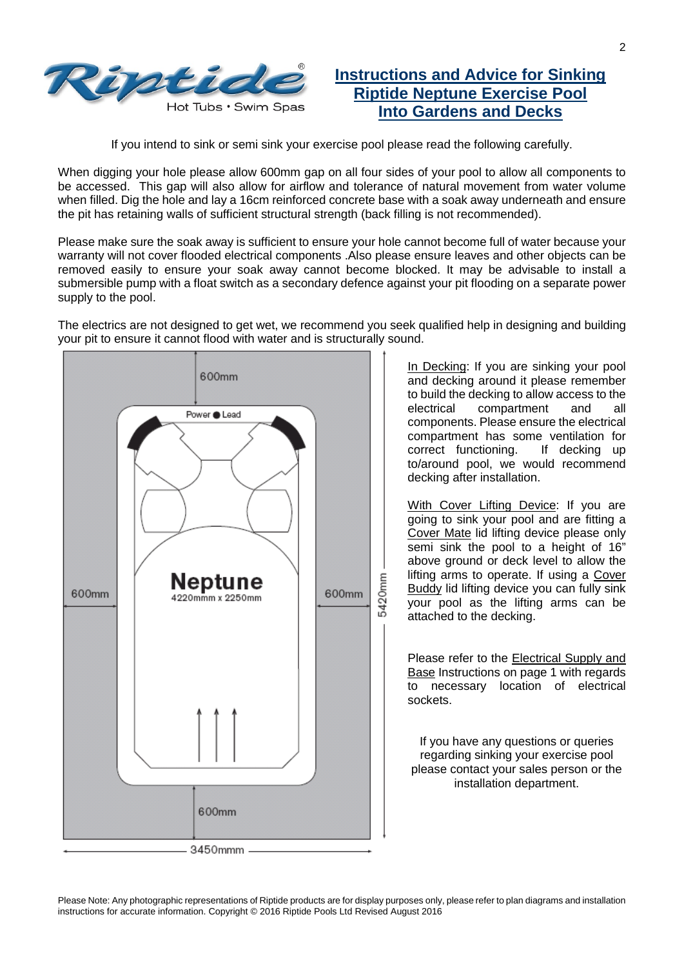

### **Instructions and Advice for Sinking Riptide Neptune Exercise Pool Into Gardens and Decks**

If you intend to sink or semi sink your exercise pool please read the following carefully.

When digging your hole please allow 600mm gap on all four sides of your pool to allow all components to be accessed. This gap will also allow for airflow and tolerance of natural movement from water volume when filled. Dig the hole and lay a 16cm reinforced concrete base with a soak away underneath and ensure the pit has retaining walls of sufficient structural strength (back filling is not recommended).

Please make sure the soak away is sufficient to ensure your hole cannot become full of water because your warranty will not cover flooded electrical components .Also please ensure leaves and other objects can be removed easily to ensure your soak away cannot become blocked. It may be advisable to install a submersible pump with a float switch as a secondary defence against your pit flooding on a separate power supply to the pool.

The electrics are not designed to get wet, we recommend you seek qualified help in designing and building your pit to ensure it cannot flood with water and is structurally sound.



In Decking: If you are sinking your pool and decking around it please remember to build the decking to allow access to the electrical compartment and all components. Please ensure the electrical compartment has some ventilation for<br>correct functioning. If decking up correct functioning. to/around pool, we would recommend decking after installation.

With Cover Lifting Device: If you are going to sink your pool and are fitting a Cover Mate lid lifting device please only semi sink the pool to a height of 16" above ground or deck level to allow the lifting arms to operate. If using a Cover Buddy lid lifting device you can fully sink your pool as the lifting arms can be attached to the decking.

Please refer to the Electrical Supply and **Base Instructions on page 1 with regards** to necessary location of electrical sockets.

If you have any questions or queries regarding sinking your exercise pool please contact your sales person or the installation department.

Please Note: Any photographic representations of Riptide products are for display purposes only, please refer to plan diagrams and installation instructions for accurate information. Copyright © 201[6 Riptide](https://www.hottubbarn.co.uk/) Pools Ltd Revised August 2016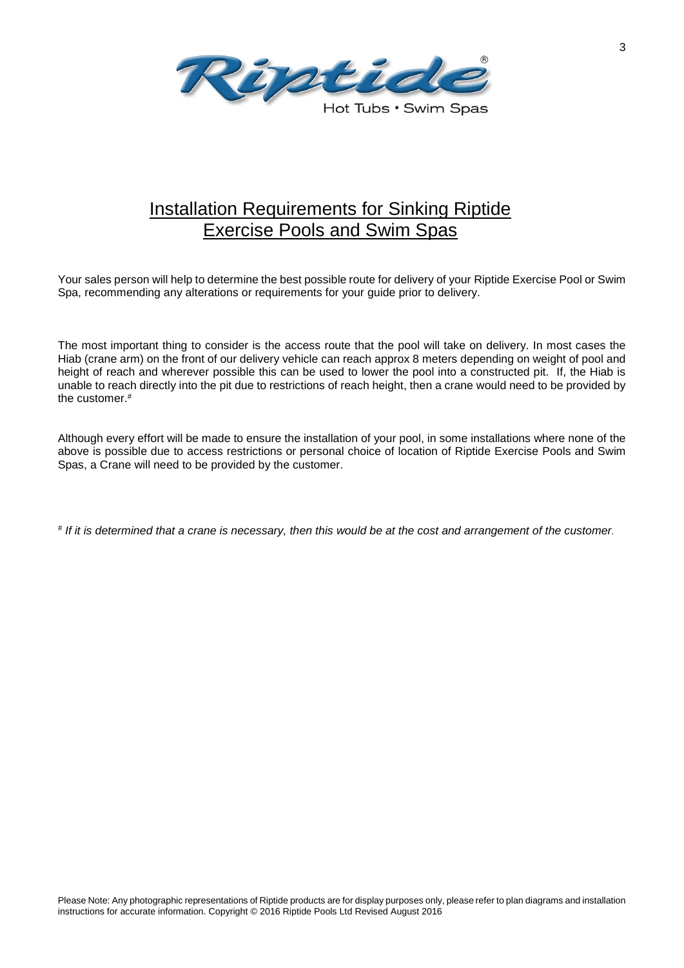

# **Installation Requirements for Sinking Riptide** Exercise Pools and Swim Spas

Your sales person will help to determine the best possible route for delivery of your Riptide Exercise Pool or Swim Spa, recommending any alterations or requirements for your guide prior to delivery.

The most important thing to consider is the access route that the pool will take on delivery. In most cases the Hiab (crane arm) on the front of our delivery vehicle can reach approx 8 meters depending on weight of pool and height of reach and wherever possible this can be used to lower the pool into a constructed pit. If, the Hiab is unable to reach directly into the pit due to restrictions of reach height, then a crane would need to be provided by the customer. $#$ 

Although every effort will be made to ensure the installation of your pool, in some installations where none of the above is possible due to access restrictions or personal choice of location of Riptide Exercise Pools and Swim Spas, a Crane will need to be provided by the customer.

*# If it is determined that a crane is necessary, then this would be at the cost and arrangement of the customer.*